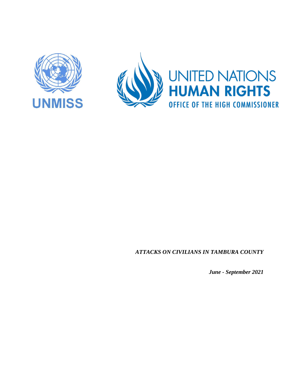





*ATTACKS ON CIVILIANS IN TAMBURA COUNTY*

*June - September 2021*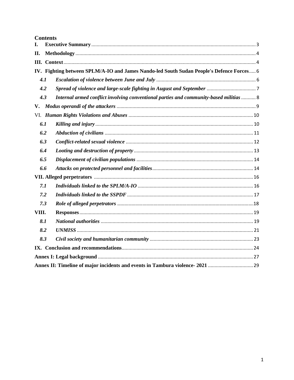|       |     | <b>Contents</b>                                                                          |  |
|-------|-----|------------------------------------------------------------------------------------------|--|
| L.    |     |                                                                                          |  |
| II.   |     |                                                                                          |  |
|       |     |                                                                                          |  |
|       |     | IV. Fighting between SPLM/A-IO and James Nando-led South Sudan People's Defence Forces 6 |  |
|       | 4.1 |                                                                                          |  |
|       | 4.2 |                                                                                          |  |
|       | 4.3 | Internal armed conflict involving conventional parties and community-based militias  8   |  |
| V.    |     |                                                                                          |  |
|       |     |                                                                                          |  |
|       | 6.1 |                                                                                          |  |
|       | 6.2 |                                                                                          |  |
|       | 6.3 |                                                                                          |  |
|       | 6.4 |                                                                                          |  |
|       | 6.5 |                                                                                          |  |
|       | 6.6 |                                                                                          |  |
|       |     |                                                                                          |  |
|       | 7.1 |                                                                                          |  |
|       | 7.2 |                                                                                          |  |
|       | 7.3 |                                                                                          |  |
| VIII. |     |                                                                                          |  |
|       | 8.1 |                                                                                          |  |
|       | 8.2 |                                                                                          |  |
|       | 8.3 |                                                                                          |  |
|       |     |                                                                                          |  |
|       |     |                                                                                          |  |
|       |     |                                                                                          |  |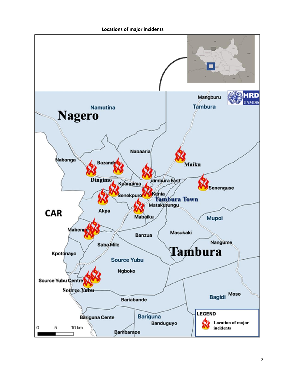**Locations of major incidents**

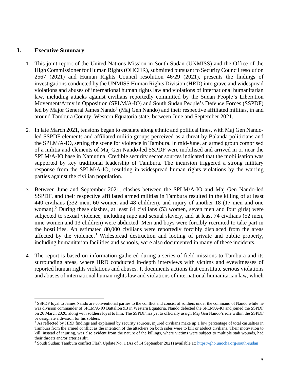#### <span id="page-3-0"></span>**I. Executive Summary**

- 1. This joint report of the United Nations Mission in South Sudan (UNMISS) and the Office of the High Commissioner for Human Rights (OHCHR), submitted pursuant to Security Council resolution 2567 (2021) and Human Rights Council resolution 46/29 (2021), presents the findings of investigations conducted by the UNMISS Human Rights Division (HRD) into grave and widespread violations and abuses of international human rights law and violations of international humanitarian law, including attacks against civilians reportedly committed by the Sudan People's Liberation Movement/Army in Opposition (SPLM/A-IO) and South Sudan People's Defence Forces (SSPDF) led by Major General James Nando<sup>1</sup> (Maj Gen Nando) and their respective affiliated militias, in and around Tambura County, Western Equatoria state, between June and September 2021.
- 2. In late March 2021, tensions began to escalate along ethnic and political lines, with Maj Gen Nandoled SSPDF elements and affiliated militia groups perceived as a threat by Balanda politicians and the SPLM/A-IO, setting the scene for violence in Tambura. In mid-June, an armed group comprised of a militia and elements of Maj Gen Nando-led SSPDF were mobilised and arrived in or near the SPLM/A-IO base in Namutina. Credible security sector sources indicated that the mobilisation was supported by key traditional leadership of Tambura. The incursion triggered a strong military response from the SPLM/A-IO, resulting in widespread human rights violations by the warring parties against the civilian population.
- 3. Between June and September 2021, clashes between the SPLM/A-IO and Maj Gen Nando-led SSPDF, and their respective affiliated armed militias in Tambura resulted in the killing of at least 440 civilians (332 men, 60 women and 48 children), and injury of another 18 (17 men and one woman).<sup>2</sup> During these clashes, at least 64 civilians (53 women, seven men and four girls) were subjected to sexual violence, including rape and sexual slavery, and at least 74 civilians (52 men, nine women and 13 children) were abducted. Men and boys were forcibly recruited to take part in the hostilities. An estimated 80,000 civilians were reportedly forcibly displaced from the areas affected by the violence.<sup>3</sup> Widespread destruction and looting of private and public property, including humanitarian facilities and schools, were also documented in many of these incidents.
- 4. The report is based on information gathered during a series of field missions to Tambura and its surrounding areas, where HRD conducted in-depth interviews with victims and eyewitnesses of reported human rights violations and abuses. It documents actions that constitute serious violations and abuses of international human rights law and violations of international humanitarian law, which

<sup>&</sup>lt;sup>1</sup> SSPDF loyal to James Nando are conventional parties to the conflict and consist of soldiers under the command of Nando while he was division commander of SPLM/A-IO Battalion 9B in Western Equatoria. Nando defected the SPLM/A-IO and joined the SSPDF on 26 March 2020, along with soldiers loyal to him. The SSPDF has yet to officially assign Maj Gen Nando's role within the SSPDF or designate a division for his solders.

 $<sup>2</sup>$  As reflected by HRD findings and explained by security sources, injured civilians make up a low percentage of total casualties in</sup> Tambura from the armed conflict as the intention of the attackers on both sides were to kill or abduct civilians. Their motivation to kill, instead of injuring, was also evident from the nature of the killings, where victims were subject to multiple stab wounds, had their throats and/or arteries slit.

<sup>&</sup>lt;sup>3</sup> South Sudan: Tambura conflict Flash Update No. 1 (As of 14 September 2021) available at[: https://gho.unocha.org/south-sudan](https://gho.unocha.org/south-sudan)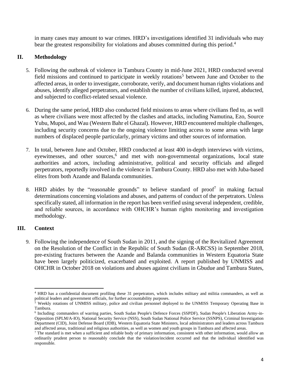<span id="page-4-0"></span>in many cases may amount to war crimes. HRD's investigations identified 31 individuals who may bear the greatest responsibility for violations and abuses committed during this period.<sup>4</sup>

# **II. Methodology**

- 5. Following the outbreak of violence in Tambura County in mid-June 2021, HRD conducted several field missions and continued to participate in weekly rotations<sup>5</sup> between June and October to the affected areas, in order to investigate, corroborate, verify, and document human rights violations and abuses, identify alleged perpetrators, and establish the number of civilians killed, injured, abducted, and subjected to conflict-related sexual violence.
- 6. During the same period, HRD also conducted field missions to areas where civilians fled to, as well as where civilians were most affected by the clashes and attacks, including Namutina, Ezo, Source Yubu, Mupoi, and Wau (Western Bahr el Ghazal). However, HRD encountered multiple challenges, including security concerns due to the ongoing violence limiting access to some areas with large numbers of displaced people particularly, primary victims and other sources of information.
- 7. In total, between June and October, HRD conducted at least 400 in-depth interviews with victims, eyewitnesses, and other sources,<sup>6</sup> and met with non-governmental organizations, local state authorities and actors, including administrative, political and security officials and alleged perpetrators, reportedly involved in the violence in Tambura County. HRD also met with Juba-based elites from both Azande and Balanda communities.
- 8. HRD abides by the "reasonable grounds" to believe standard of proof<sup>7</sup> in making factual determinations concerning violations and abuses, and patterns of conduct of the perpetrators. Unless specifically stated, all information in the report has been verified using several independent, credible, and reliable sources, in accordance with OHCHR's human rights monitoring and investigation methodology.

### <span id="page-4-1"></span>**III. Context**

9. Following the independence of South Sudan in 2011, and the signing of the Revitalized Agreement on the Resolution of the Conflict in the Republic of South Sudan (R-ARCSS) in September 2018, pre-existing fractures between the Azande and Balanda communities in Western Equatoria State have been largely politicized, exacerbated and exploited. A report published by UNMISS and OHCHR in October 2018 on violations and abuses against civilians in Gbudue and Tambura States,

<sup>4</sup> HRD has a confidential document profiling these 31 perpetrators, which includes military and militia commanders, as well as political leaders and government officials, for further accountability purposes.

<sup>&</sup>lt;sup>5</sup> Weekly rotations of UNMISS military, police and civilian personnel deployed to the UNMISS Temporary Operating Base in Tambura.

<sup>6</sup> Including: commanders of warring parties, South Sudan People's Defence Forces (SSPDF), Sudan People's Liberation Army-in-Opposition (SPLM/A-IO), National Security Service (NSS), South Sudan National Police Service (SSNPS), Criminal Investigation Department (CID), Joint Defense Board (JDB), Western Equatoria State Ministers, local administrators and leaders across Tambura and affected areas, traditional and religious authorities, as well as women and youth groups in Tambura and affected areas.

 $^7$  The standard is met when a sufficient and reliable body of primary information, consistent with other information, would allow an ordinarily prudent person to reasonably conclude that the violation/incident occurred and that the individual identified was responsible.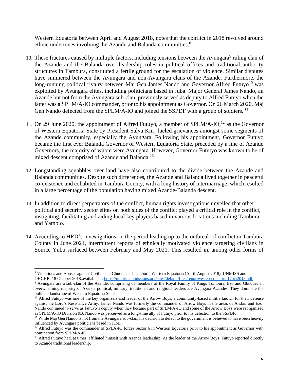Western Equatoria between April and August 2018, notes that the conflict in 2018 revolved around ethnic undertones involving the Azande and Balanda communities.<sup>8</sup>

- 10. These fractures caused by multiple factors, including tensions between the Avungara<sup>9</sup> ruling clan of the Azande and the Balanda over leadership roles in political offices and traditional authority structures in Tambura, constituted a fertile ground for the escalation of violence. Similar disputes have simmered between the Avungara and non-Avungara clans of the Azande. Furthermore, the long-running political rivalry between Maj Gen James Nando and Governor Alfred Futuyo<sup>10</sup> was exploited by Avungara elites, including politicians based in Juba. Major General James Nando, an Azande but not from the Avungara sub-clan, previously served as deputy to Alfred Futuyo when the latter was a SPLM/A-IO commander, prior to his appointment as Governor. On 26 March 2020, Maj Gen Nando defected from the SPLM/A-IO and joined the SSPDF with a group of soldiers.<sup>11</sup>
- 11. On 29 June 2020, the appointment of Alfred Futuyo, a member of  $SPLM/A-IO<sub>12</sub><sup>12</sup>$  as the Governor of Western Equatoria State by President Salva Kiir, fueled grievances amongst some segments of the Azande community, especially the Avungara. Following his appointment, Governor Futuyo became the first ever Balanda Governor of Western Equatoria State, preceded by a line of Azande Governors, the majority of whom were Avungara. However, Governor Fututyo was known to be of mixed descent comprised of Azande and Balanda.<sup>13</sup>
- 12. Longstanding squabbles over land have also contributed to the divide between the Azande and Balanda communities. Despite such differences, the Azande and Balanda lived together in peaceful co-existence and cohabited in Tambura County, with a long history of intermarriage, which resulted in a large percentage of the population having mixed Azande-Balanda descent.
- 13. In addition to direct perpetrators of the conflict, human rights investigations unveiled that other political and security sector elites on both sides of the conflict played a critical role in the conflict, instigating, facilitating and aiding local key players based in various locations including Tambura and Yambio.
- 14. According to HRD's investigations, in the period leading up to the outbreak of conflict in Tambura County in June 2021, intermittent reports of ethnically motivated violence targeting civilians in Source Yubu surfaced between February and May 2021. This resulted in, among other forms of

<sup>8</sup> Violations and Abuses against Civilians in Gbudue and Tambura, Western Equatoria (April-August 2018), UNMISS and OHCHR, 18 October 2018,available at[: https://unmiss.unmissions.org/sites/default/files/reportwesternequatoria17oct2018.pdf](https://unmiss.unmissions.org/sites/default/files/reportwesternequatoria17oct2018.pdf)

<sup>9</sup> Avungara are a sub-clan of the Azande, comprising of members of the Royal Family of Kings Tombura, Ezo and Gbudue; an overwhelming majority of Azande political, military, traditional and religious leaders are Avungara Azandes. They dominate the political landscape of Western Equatoria State.

<sup>&</sup>lt;sup>10</sup> Alfred Futuyo was one of the key organizers and leader of the Arrow Boys, a community-based militia known for their defense against the Lord's Resistance Army. James Nando was formerly the commander of Arrow Boys in the areas of Andari and Ezo. Nando continued to serve as Futuyo's deputy when they became part of SPLM/A-IO and some of the Arrow Boys were reorganized as SPLM/A-IO Division 9B. Nando was perceived as a long-time ally of Futuyo prior to his defection to the SSPDF.

<sup>&</sup>lt;sup>11</sup> While Maj Gen Nando is not from the Avungara sub-clan, his decision to defect to the government is believed to have been heavily influenced by Avungara politicians based in Juba.

 $12$  Alfred Futuyo was the commander of SPLA-IO forces Sector 6 in Western Equatoria prior to his appointment as Governor with nomination from SPLM/A-IO

<sup>&</sup>lt;sup>13</sup> Alfred Futuyo had, at times, affiliated himself with Azande leadership. As the leader of the Arrow Boys, Futuyo reported directly to Azande traditional leadership.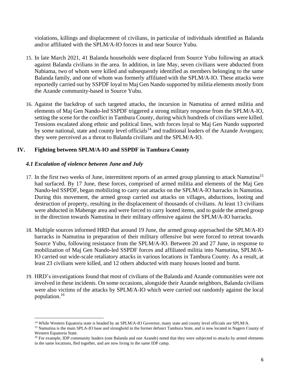violations, killings and displacement of civilians, in particular of individuals identified as Balanda and/or affiliated with the SPLM/A-IO forces in and near Source Yubu.

- 15. In late March 2021, 41 Balanda households were displaced from Source Yubu following an attack against Balanda civilians in the area. In addition, in late May, seven civilians were abducted from Nabiama, two of whom were killed and subsequently identified as members belonging to the same Balanda family, and one of whom was formerly affiliated with the SPLM/A-IO. These attacks were reportedly carried out by SSPDF loyal to Maj Gen Nando supported by militia elements mostly from the Azande community-based in Source Yubu.
- 16. Against the backdrop of such targeted attacks, the incursion in Namutina of armed militia and elements of Maj Gen Nando-led SSPDF triggered a strong military response from the SPLM/A-IO, setting the scene for the conflict in Tambura County, during which hundreds of civilians were killed. Tensions escalated along ethnic and political lines, with forces loyal to Maj Gen Nando supported by some national, state and county level officials<sup>14</sup> and traditional leaders of the Azande Avungara; they were perceived as a threat to Balanda civilians and the SPLM/A-IO.

### <span id="page-6-0"></span>**IV. Fighting between SPLM/A-IO and SSPDF in Tambura County**

### <span id="page-6-1"></span>*4.1 Escalation of violence between June and July*

- 17. In the first two weeks of June, intermittent reports of an armed group planning to attack Namutina<sup>15</sup> had surfaced. By 17 June, these forces, comprised of armed militia and elements of the Maj Gen Nando-led SSPDF, began mobilizing to carry out attacks on the SPLM/A-IO barracks in Namutina. During this movement, the armed group carried out attacks on villages, abductions, looting and destruction of property, resulting in the displacement of thousands of civilians. At least 13 civilians were abducted in Mabenge area and were forced to carry looted items, and to guide the armed group in the direction towards Namutina in their military offensive against the SPLM/A-IO barracks.
- 18. Multiple sources informed HRD that around 19 June, the armed group approached the SPLM/A-IO barracks in Namutina in preparation of their military offensive but were forced to retreat towards Source Yubu, following resistance from the SPLM/A-IO. Between 20 and 27 June, in response to mobilization of Maj Gen Nando-led SSPDF forces and affiliated militia into Namutina, SPLM/A-IO carried out wide-scale retaliatory attacks in various locations in Tambura County. As a result, at least 23 civilians were killed, and 12 others abducted with many houses looted and burnt.
- 19. HRD's investigations found that most of civilians of the Balanda and Azande communities were not involved in these incidents. On some occasions, alongside their Azande neighbors, Balanda civilians were also victims of the attacks by SPLM/A-IO which were carried out randomly against the local population.<sup>16</sup>

<sup>&</sup>lt;sup>14</sup> While Western Equatoria state is headed by an SPLM/A-IO Governor, many state and county level officials are SPLM/A.

<sup>&</sup>lt;sup>15</sup> Namutina is the main SPLA-IO base and stronghold in the former defunct Tambura State, and is now located in Nagero County of Western Equatoria State.

<sup>&</sup>lt;sup>16</sup> For example, IDP community leaders (one Balanda and one Azande) noted that they were subjected to attacks by armed elements in the same locations, fled together, and are now living in the same IDP camp.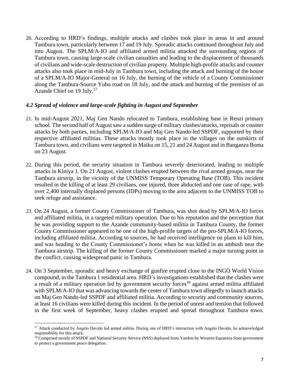20. According to HRD's findings, multiple attacks and clashes took place in areas in and around Tambura town, particularly between 17 and 19 July. Sporadic attacks continued throughout July and into August. The SPLM/A-IO and affiliated armed militia attacked the surrounding regions of Tambura town, causing large-scale civilian casualties and leading to the displacement of thousands of civilians and wide-scale destruction of civilian property. Multiple high-profile attacks and counter attacks also took place in mid-July in Tambura town, including the attack and burning of the house of a SPLM/A-IO Major-General on 16 July, the burning of the vehicle of a County Commissioner along the Tambura-Source Yubu road on 18 July, and the attack and burning of the premises of an Azande Chief on 19 July.<sup>17</sup>

#### <span id="page-7-0"></span>*4.2 Spread of violence and large-scale fighting in August and September*

- 21. In mid-August 2021, Maj Gen Nando relocated to Tambura, establishing base in Renzi primary school. The second half of August saw a sudden surge of military clashes/attacks, reprisals or counter attacks by both parties, including SPLM/A-IO and Maj Gen Nando-led SSPDF, supported by their respective affiliated militias. These attacks mostly took place in the villages on the outskirts of Tambura town, and civilians were targeted in Maiku on 15, 21 and 24 August and in Banganza Boma on 23 August.
- 22. During this period, the security situation in Tambura severely deteriorated, leading to multiple attacks in Kiniya 1. On 21 August, violent clashes erupted between the rival armed groups, near the Tambura airstrip, in the vicinity of the UNMISS Temporary Operating Base (TOB). This incident resulted in the killing of at least 29 civilians, one injured, three abducted and one case of rape, with over 2,400 internally displaced persons (IDPs) moving to the area adjacent to the UNMISS TOB to seek refuge and assistance.
- 23. On 24 August, a former County Commissioner of Tambura, was shot dead by SPLM/A-IO forces and affiliated militia, in a targeted military operation. Due to his reputation and the perception that he was providing support to the Azande community-based militia in Tambura County, the former County Commissioner appeared to be one of the high-profile targets of the pro-SPLM/A-IO forces, including affiliated militia. According to sources, he had received intelligence on plans to kill him, and was heading to the County Commissioner's home when he was killed in an ambush near the Tambura airstrip. The killing of the former County Commissioner marked a major turning point in the conflict, causing widespread panic in Tambura.
- 24. On 3 September, sporadic and heavy exchange of gunfire erupted close to the INGO World Vision compound, in the Tambura 1 residential area. HRD's investigations established that the clashes were a result of a military operation led by government security forces<sup>18</sup> against armed militia affiliated with SPLM/A-IO that was advancing towards the center of Tambura town allegedly to launch attacks on Maj Gen Nando-led SSPDF and affiliated militia. According to security and community sources, at least 16 civilians were killed during this incident. In the period of unrest and tension that followed in the first week of September, heavy clashes erupted and spread throughout Tambura town.

<sup>&</sup>lt;sup>17</sup> Attack conducted by Angelo Davido led armed militia. During one of HRD's interaction with Angelo Davido, he acknowledged responsibility for this attack.

<sup>&</sup>lt;sup>18</sup> Comprised mostly of SSPDF and National Security Service (NSS) deployed from Yambio by Western Equatoria State government to protect a government peace delegation.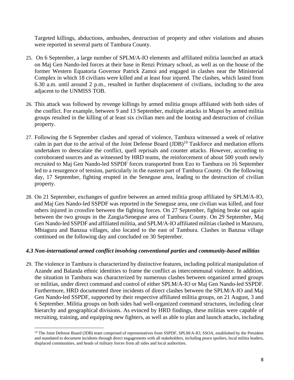Targeted killings, abductions, ambushes, destruction of property and other violations and abuses were reported in several parts of Tambura County.

- 25. On 6 September, a large number of SPLM/A-IO elements and affiliated militia launched an attack on Maj Gen Nando-led forces at their base in Renzi Primary school, as well as on the house of the former Western Equatoria Governor Patrick Zamoi and engaged in clashes near the Ministerial Complex in which 18 civilians were killed and at least four injured. The clashes, which lasted from 6.30 a.m. until around 2 p.m., resulted in further displacement of civilians, including to the area adjacent to the UNMISS TOB.
- 26. This attack was followed by revenge killings by armed militia groups affiliated with both sides of the conflict. For example, between 9 and 13 September, multiple attacks in Mupoi by armed militia groups resulted in the killing of at least six civilian men and the looting and destruction of civilian property.
- 27. Following the 6 September clashes and spread of violence, Tambura witnessed a week of relative calm in part due to the arrival of the Joint Defense Board (JDB)<sup>19</sup> Taskforce and mediation efforts undertaken to deescalate the conflict, quell reprisals and counter attacks. However, according to corroborated sources and as witnessed by HRD teams, the reinforcement of about 500 youth newly recruited to Maj Gen Nando-led SSPDF forces transported from Ezo to Tambura on 16 September led to a resurgence of tension, particularly in the eastern part of Tambura County. On the following day, 17 September, fighting erupted in the Seneguse area, leading to the destruction of civilian property.
- 28. On 21 September, exchanges of gunfire between an armed militia group affiliated by SPLM/A-IO, and Maj Gen Nando-led SSPDF was reported in the Seneguse area, one civilian was killed, and four others injured in crossfire between the fighting forces. On 27 September, fighting broke out again between the two groups in the Zangia/Seneguse area of Tambura County. On 29 September, Maj Gen Nando-led SSPDF and affiliated militia, and SPLM/A-IO affiliated militias clashed in Manzuru, Mbiagura and Banzua villages, also located to the east of Tambura. Clashes in Banzua village continued on the following day and concluded on 30 September.

### <span id="page-8-0"></span>*4.3 Non-international armed conflict involving conventional parties and community-based militias*

29. The violence in Tambura is characterized by distinctive features, including political manipulation of Azande and Balanda ethnic identities to frame the conflict as intercommunal violence. In addition, the situation in Tambura was characterized by numerous clashes between organized armed groups or militias, under direct command and control of either SPLM/A-IO or Maj Gen Nando-led SSPDF. Furthermore, HRD documented three incidents of direct clashes between the SPLM/A-IO and Maj Gen Nando-led SSPDF, supported by their respective affiliated militia groups, on 21 August, 3 and 6 September. Militia groups on both sides had well-organized command structures, including clear hierarchy and geographical divisions. As evinced by HRD findings, these militias were capable of recruiting, training, and equipping new fighters, as well as able to plan and launch attacks, including

<sup>&</sup>lt;sup>19</sup> The Joint Defense Board (JDB) team comprised of representatives from SSPDF, SPLM/A-IO, SSOA, established by the President and mandated to document incidents through direct engagements with all stakeholders, including peace spoilers, local militia leaders, displaced communities, and heads of military forces from all sides and local authorities.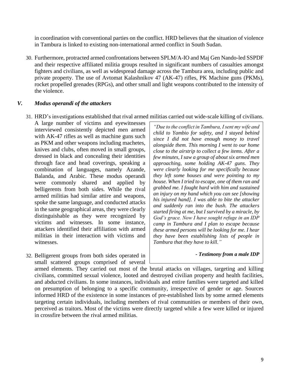in coordination with conventional parties on the conflict. HRD believes that the situation of violence in Tambura is linked to existing non-international armed conflict in South Sudan.

30. Furthermore, protracted armed confrontations between SPLM/A-IO and Maj Gen Nando-led SSPDF and their respective affiliated militia groups resulted in significant numbers of casualties amongst fighters and civilians, as well as widespread damage across the Tambura area, including public and private property. The use of Avtomat Kalashnikov 47 (AK-47) rifles, PK Machine guns (PKMs), rocket propelled grenades (RPGs), and other small and light weapons contributed to the intensity of the violence.

#### <span id="page-9-0"></span>*V. Modus operandi of the attackers*

- 31. HRD's investigations established that rival armed militias carried out wide-scale killing of civilians.
	- A large number of victims and eyewitnesses interviewed consistently depicted men armed with AK-47 rifles as well as machine guns such as PKM and other weapons including machetes, knives and clubs, often moved in small groups, dressed in black and concealing their identities through face and head coverings, speaking a combination of languages, namely Azande, Balanda, and Arabic. These modus operandi were commonly shared and applied by belligerents from both sides. While the rival armed militias had similar attire and weapons, spoke the same language, and conducted attacks in the same geographical areas, they were clearly distinguishable as they were recognized by victims and witnesses. In some instance, attackers identified their affiliation with armed militias in their interaction with victims and witnesses.
- 32. Belligerent groups from both sides operated in small scattered groups comprised of several

*"Due to the conflict in Tambura, I sent my wife and child to Yambio for safety, and I stayed behind since I did not have enough money to travel alongside them. This morning I went to our home close to the airstrip to collect a few items. After a few minutes, I saw a group of about six armed men approaching, some holding AK-47 guns. They were clearly looking for me specifically because they left some houses and were pointing to my house. When I tried to escape, one of them ran and grabbed me. I fought hard with him and sustained an injury on my hand which you can see [showing his injured hand]. I was able to bite the attacker and suddenly ran into the bush. The attackers started firing at me, but I survived by a miracle, by God's grace. Now I have sought refuge in an IDP camp in Tambura and I plan to escape because these armed persons will be looking for me. I hear they have been establishing lists of people in Tambura that they have to kill."*

#### *- Testimony from a male IDP*

armed elements. They carried out most of the brutal attacks on villages, targeting and killing civilians, committed sexual violence, looted and destroyed civilian property and health facilities, and abducted civilians. In some instances, individuals and entire families were targeted and killed on presumption of belonging to a specific community, irrespective of gender or age. Sources informed HRD of the existence in some instances of pre-established lists by some armed elements targeting certain individuals, including members of rival communities or members of their own, perceived as traitors. Most of the victims were directly targeted while a few were killed or injured in crossfire between the rival armed militias.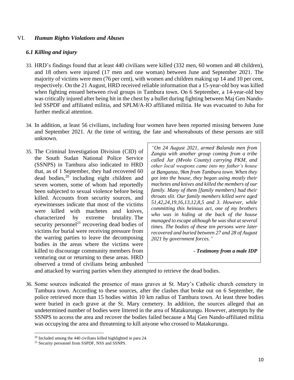#### <span id="page-10-0"></span>VI. *Human Rights Violations and Abuses*

#### <span id="page-10-1"></span>*6.1 Killing and injury*

- 33. HRD's findings found that at least 440 civilians were killed (332 men, 60 women and 48 children), and 18 others were injured (17 men and one woman) between June and September 2021. The majority of victims were men (76 per cent), with women and children making up 14 and 10 per cent, respectively. On the 21 August, HRD received reliable information that a 15-year-old boy was killed when fighting ensued between rival groups in Tambura town. On 6 September, a 14-year-old boy was critically injured after being hit in the chest by a bullet during fighting between Maj Gen Nandoled SSPDF and affiliated militia, and SPLM/A-IO affiliated militia. He was evacuated to Juba for further medical attention.
- 34. In addition, at least 56 civilians, including four women have been reported missing between June and September 2021. At the time of writing, the fate and whereabouts of these persons are still unknown.
- 35. The Criminal Investigation Division (CID) of the South Sudan National Police Service (SSNPS) in Tambura also indicated to HRD that, as of 1 September, they had recovered 60 dead bodies, <sup>20</sup> including eight children and seven women, some of whom had reportedly been subjected to sexual violence before being killed. Accounts from security sources, and eyewitnesses indicate that most of the victims were killed with machetes and knives, characterized by extreme brutality. The security personnel<sup>21</sup> recovering dead bodies of victims for burial were receiving pressure from the warring parties to leave the decomposing bodies in the areas where the victims were killed to discourage community members from venturing out or returning to these areas. HRD observed a trend of civilians being ambushed

*"On 24 August 2021, armed Balanda men from Zangia with another group coming from a tribe called Jur (Mvolo County) carrying PKM, and other local weapons came into my father's house at Banganza, 9km from Tambura town. When they got into the house, they began using mostly their machetes and knives and killed the members of our family. Many of them [family members] had their throats slit. Our family members killed were aged 51,42,24,19,16,13,12,8,5 and 3. However, while committing this heinous act, one of my brothers who was in hiding at the back of the house managed to escape although he was shot at several times. The bodies of these ten persons were later recovered and buried between 27 and 28 of August 2021 by government forces."*

*- Testimony from a male IDP* 

and attacked by warring parties when they attempted to retrieve the dead bodies.

36. Some sources indicated the presence of mass graves at St. Mary's Catholic church cemetery in Tambura town. According to these sources, after the clashes that broke out on 6 September, the police retrieved more than 15 bodies within 10 km radius of Tambura town. At least three bodies were buried in each grave at the St. Mary cemetery. In addition, the sources alleged that an undetermined number of bodies were littered in the area of Matakurungu. However, attempts by the SSNPS to access the area and recover the bodies failed because a Maj Gen Nando-affiliated militia was occupying the area and threatening to kill anyone who crossed to Matakurungu.

<sup>20</sup> Included among the 440 civilians killed highlighted in para 24.

<sup>21</sup> Security personnel from SSPDF, NSS and SSNPS.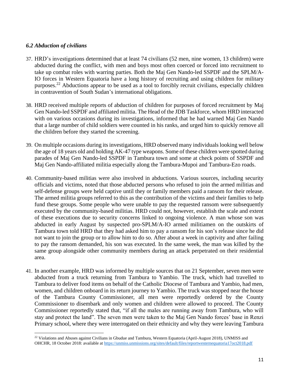#### <span id="page-11-0"></span>*6.2 Abduction of civilians*

- 37. HRD's investigations determined that at least 74 civilians (52 men, nine women, 13 children) were abducted during the conflict, with men and boys most often coerced or forced into recruitment to take up combat roles with warring parties. Both the Maj Gen Nando-led SSPDF and the SPLM/A-IO forces in Western Equatoria have a long history of recruiting and using children for military purposes.<sup>22</sup> Abductions appear to be used as a tool to forcibly recruit civilians, especially children in contravention of South Sudan's international obligations.
- 38. HRD received multiple reports of abduction of children for purposes of forced recruitment by Maj Gen Nando-led SSPDF and affiliated militia. The Head of the JDB Taskforce, whom HRD interacted with on various occasions during its investigations, informed that he had warned Maj Gen Nando that a large number of child soldiers were counted in his ranks, and urged him to quickly remove all the children before they started the screening.
- 39. On multiple occasions during its investigations, HRD observed many individuals looking well below the age of 18 years old and holding AK-47 type weapons. Some of these children were spotted during parades of Maj Gen Nando-led SSPDF in Tambura town and some at check points of SSPDF and Maj Gen Nando-affiliated militia especially along the Tambura-Mupoi and Tambura-Ezo roads.
- 40. Community-based militias were also involved in abductions. Various sources, including security officials and victims, noted that those abducted persons who refused to join the armed militias and self-defense groups were held captive until they or family members paid a ransom for their release. The armed militia groups referred to this as the contribution of the victims and their families to help fund these groups. Some people who were unable to pay the requested ransom were subsequently executed by the community-based militias. HRD could not, however, establish the scale and extent of these executions due to security concerns linked to ongoing violence. A man whose son was abducted in early August by suspected pro-SPLM/A-IO armed militiamen on the outskirts of Tambura town told HRD that they had asked him to pay a ransom for his son's release since he did not want to join the group or to allow him to do so. After about a week in captivity and after failing to pay the ransom demanded, his son was executed. In the same week, the man was killed by the same group alongside other community members during an attack perpetrated on their residential area.
- 41. In another example, HRD was informed by multiple sources that on 21 September, seven men were abducted from a truck returning from Tambura to Yambio. The truck, which had travelled to Tambura to deliver food items on behalf of the Catholic Diocese of Tambura and Yambio, had men, women, and children onboard in its return journey to Yambio. The truck was stopped near the house of the Tambura County Commissioner, all men were reportedly ordered by the County Commissioner to disembark and only women and children were allowed to proceed. The County Commissioner reportedly stated that, "if all the males are running away from Tambura, who will stay and protect the land". The seven men were taken to the Maj Gen Nando forces' base in Renzi Primary school, where they were interrogated on their ethnicity and why they were leaving Tambura

<sup>&</sup>lt;sup>22</sup> Violations and Abuses against Civilians in Gbudue and Tambura, Western Equatoria (April-August 2018), UNMISS and OHCHR, 18 October 2018: available a[t https://unmiss.unmissions.org/sites/default/files/reportwesternequatoria17oct2018.pdf](https://unmiss.unmissions.org/sites/default/files/reportwesternequatoria17oct2018.pdf)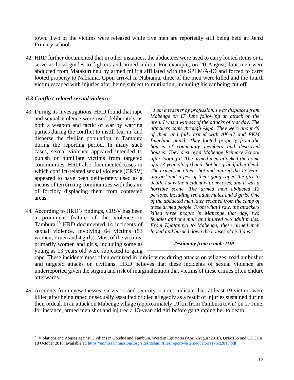town. Two of the victims were released while five men are reportedly still being held at Renzi Primary school.

42. HRD further documented that in other instances, the abductees were used to carry looted items or to serve as local guides to fighters and armed militia. For example, on 20 August, four men were abducted from Matakurungu by armed militia affiliated with the SPLM/A-IO and forced to carry looted property to Nabiama. Upon arrival in Nabiama, three of the men were killed and the fourth victim escaped with injuries after being subject to mutilation, including his ear being cut off.

#### <span id="page-12-0"></span>*6.3 Conflict-related sexual violence*

- 43. During its investigations, HRD found that rape and sexual violence were used deliberately as both a weapon and tactic of war by warring parties during the conflict to instill fear in, and disperse the civilian population in Tambura during the reporting period. In many such cases, sexual violence appeared intended to punish or humiliate victims from targeted communities. HRD also documented cases in which conflict-related sexual violence (CRSV) appeared to have been deliberately used as a means of terrorizing communities with the aim of forcibly displacing them from contested areas.
- 44. According to HRD's findings, CRSV has been a prominent feature of the violence in Tambura. <sup>23</sup> HRD documented 14 incidents of sexual violence, involving 64 victims (53 women, 7 men and 4 girls). Most of the victims, primarily women and girls, including some as young as 13 years old were subjected to gang

*"I am a teacher by profession. I was displaced from Mabenge on 17 June following an attack on the area. I was a witness of the attacks of that day. The attackers came through Akpa. They were about 49 of them and fully armed with AK-47 and PKM [machine guns]. They looted property from the houses of community members and destroyed houses. They destroyed Mabenge Primary School after looting it. The armed men attacked the home of a 13-year-old girl and shot her grandfather dead. The armed men then shot and injured the 13-yearold girl and a few of them gang raped the girl to death. I saw the incident with my eyes, and it was a horrible scene. The armed men abducted 13 persons, including ten adult males and 3 girls. One of the abducted men later escaped from the camp of these armed people. From what I saw, the attackers killed three people in Mabenge that day, two females and one male and injured two adult males. From Kpatanayo to Mabenge, these armed men looted and burned down the houses of civilians."*

#### *- Testimony from a male IDP*

rape. These incidents most often occurred in public view during attacks on villages, road ambushes and targeted attacks on civilians. HRD believes that these incidents of sexual violence are underreported given the stigma and risk of marginalization that victims of these crimes often endure afterwards.

45. Accounts from eyewitnesses, survivors and security sources indicate that, at least 19 victims were killed after being raped or sexually assaulted or died allegedly as a result of injuries sustained during their ordeal. In an attack on Mabenge village (approximately 19 km from Tambura town) on 17 June, for instance, armed men shot and injured a 13-year-old girl before gang raping her to death.

<sup>&</sup>lt;sup>23</sup> Violations and Abuses against Civilians in Gbudue and Tambura, Western Equatoria (April-August 2018), UNMISS and OHCHR, 18 October 2018: available at[: https://unmiss.unmissions.org/sites/default/files/reportwesternequatoria17oct2018.pdf](https://unmiss.unmissions.org/sites/default/files/reportwesternequatoria17oct2018.pdf)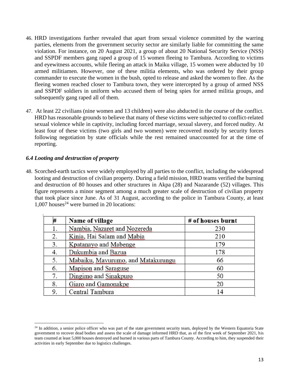- 46. HRD investigations further revealed that apart from sexual violence committed by the warring parties, elements from the government security sector are similarly liable for committing the same violation. For instance, on 20 August 2021, a group of about 20 National Security Service (NSS) and SSPDF members gang raped a group of 15 women fleeing to Tambura. According to victims and eyewitness accounts, while fleeing an attack in Maiku village, 15 women were abducted by 10 armed militiamen. However, one of these militia elements, who was ordered by their group commander to execute the women in the bush, opted to release and asked the women to flee. As the fleeing women reached closer to Tambura town, they were intercepted by a group of armed NSS and SSPDF soldiers in uniform who accused them of being spies for armed militia groups, and subsequently gang raped all of them.
- 47. At least 22 civilians (nine women and 13 children) were also abducted in the course of the conflict. HRD has reasonable grounds to believe that many of these victims were subjected to conflict-related sexual violence while in captivity, including forced marriage, sexual slavery, and forced nudity. At least four of these victims (two girls and two women) were recovered mostly by security forces following negotiation by state officials while the rest remained unaccounted for at the time of reporting.

### <span id="page-13-0"></span>*6.4 Looting and destruction of property*

48. Scorched-earth tactics were widely employed by all parties to the conflict, including the widespread looting and destruction of civilian property. During a field mission, HRD teams verified the burning and destruction of 80 houses and other structures in Akpa (28) and Nazarande (52) villages. This figure represents a minor segment among a much greater scale of destruction of civilian property that took place since June. As of 31 August, according to the police in Tambura County, at least 1.007 houses<sup>24</sup> were burned in 20 locations:

| #  | Name of village                    | # of houses burnt |
|----|------------------------------------|-------------------|
|    | Nambia, Nazaret and Nozereda       | 230               |
| 2. | Kinia, Hai Salam and Mabia         | 210               |
| 3. | Kpatanayo and Mabenge              | 179               |
| 4. | Dukumbia and Bazua                 | 178               |
| 5. | Mabaiku, Mavurumo, and Matakurungu | 66                |
| 6. | Mapison and Saraguse               | 60                |
| 7. | Dingimo and Sinakpuro              | 50                |
| 8. | Giaro and Gamonakpe                | 20                |
| 9. | Central Tambura                    | 14                |

 $24$  In addition, a senior police officer who was part of the state government security team, deployed by the Western Equatoria State government to recover dead bodies and assess the scale of damage informed HRD that, as of the first week of September 2021, his team counted at least 5,000 houses destroyed and burned in various parts of Tambura County. According to him, they suspended their activities in early September due to logistics challenges.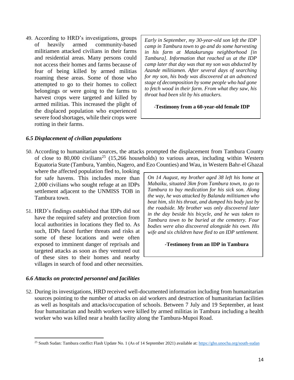49. According to HRD's investigations, groups of heavily armed community-based militiamen attacked civilians in their farms and residential areas. Many persons could not access their homes and farms because of fear of being killed by armed militias roaming these areas. Some of those who attempted to go to their homes to collect belongings or were going to the farms to harvest crops were targeted and killed by armed militias. This increased the plight of the displaced population who experienced severe food shortages, while their crops were rotting in their farms.

*Early in September, my 30-year-old son left the IDP camp in Tambura town to go and do some harvesting in his farm at Matakurungu neighborhood [in Tambura]. Information that reached us at the IDP camp later that day was that my son was abducted by Azande militiamen. After several days of searching for my son, his body was discovered at an advanced stage of decomposition by some people who had gone to fetch wood in their farm. From what they saw, his throat had been slit by his attackers.*

-**Testimony from a 60-year-old female IDP** 

#### <span id="page-14-0"></span>*6.5 Displacement of civilian populations*

50. According to humanitarian sources, the attacks prompted the displacement from Tambura County of close to 80,000 civilians<sup>25</sup> (15,266 households) to various areas, including within Western Equatoria State (Tambura, Yambio, Nagero, and Ezo Counties) and Wau, in Western Bahr-el Ghazal

where the affected population fled to, looking for safe havens. This includes more than 2,000 civilians who sought refuge at an IDPs settlement adjacent to the UNMISS TOB in Tambura town.

51. HRD's findings established that IDPs did not have the required safety and protection from local authorities in locations they fled to. As such, IDPs faced further threats and risks at some of these locations and were often exposed to imminent danger of reprisals and targeted attacks as soon as they ventured out of these sites to their homes and nearby villages in search of food and other necessities.

*On 14 August, my brother aged 38 left his home at Mabaiku, situated 3km from Tambura town, to go to Tambura to buy medication for his sick son. Along the way, he was attacked by Balanda militiamen who beat him, slit his throat, and dumped his body just by the roadside. My brother was only discovered later in the day beside his bicycle, and he was taken to Tambura town to be buried at the cemetery. Four bodies were also discovered alongside his own. His wife and six children have fled to an IDP settlement.* 

#### *-***Testimony from an IDP in Tambura**

#### <span id="page-14-1"></span>*6.6 Attacks on protected personnel and facilities*

52. During its investigations, HRD received well-documented information including from humanitarian sources pointing to the number of attacks on aid workers and destruction of humanitarian facilities as well as hospitals and attacks/occupation of schools. Between 7 July and 19 September, at least four humanitarian and health workers were killed by armed militias in Tambura including a health worker who was killed near a health facility along the Tambura-Mupoi Road.

<sup>&</sup>lt;sup>25</sup> South Sudan: Tambura conflict Flash Update No. 1 (As of 14 September 2021) available at[: https://gho.unocha.org/south-sudan](https://gho.unocha.org/south-sudan)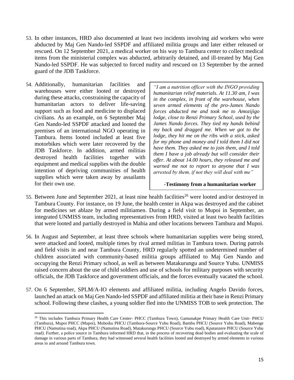- 53. In other instances, HRD also documented at least two incidents involving aid workers who were abducted by Maj Gen Nando-led SSPDF and affiliated militia groups and later either released or rescued. On 12 September 2021, a medical worker on his way to Tambura center to collect medical items from the ministerial complex was abducted, arbitrarily detained, and ill-treated by Maj Gen Nando-led SSPDF. He was subjected to forced nudity and rescued on 13 September by the armed guard of the JDB Taskforce.
- 54. Additionally, humanitarian facilities and warehouses were either looted or destroyed during these attacks, constraining the capacity of humanitarian actors to deliver life-saving support such as food and medicine to displaced civilians. As an example, on 6 September Maj Gen Nando-led SSPDF attacked and looted the premises of an international NGO operating in Tambura. Items looted included at least five motorbikes which were later recovered by the JDB Taskforce. In addition, armed militias destroyed health facilities together with equipment and medical supplies with the double intention of depriving communities of health supplies which were taken away by assailants for their own use.

*"I am a nutrition officer with the INGO providing humanitarian relief materials. At 11.30 am, I was in the complex, in front of the warehouse, when seven armed elements of the pro-James Nando forces abducted me and took me to Amozijigo lodge, close to Renzi Primary School, used by the James Nando forces. They tied my hands behind my back and dragged me. When we got to the lodge, they hit me on the ribs with a stick, asked for my phone and money and I told them I did not have them. They asked me to join them, and I told them I have a job already but will consider their offer. At about 14.00 hours, they released me and warned me not to report to anyone that I was arrested by them, if not they will deal with me"*

#### *-***Testimony from a humanitarian worker**

- 55. Between June and September 2021, at least nine health facilities<sup>26</sup> were looted and/or destroyed in Tambura County. For instance, on 19 June, the health center in Akpa was destroyed and the cabinet for medicines set ablaze by armed militiamen. During a field visit to Mupoi in September, an integrated UNMISS team, including representatives from HRD, visited at least two health facilities that were looted and partially destroyed in Mabia and other locations between Tambura and Mupoi.
- 56. In August and September, at least three schools where humanitarian supplies were being stored, were attacked and looted, multiple times by rival armed militias in Tambura town. During patrols and field visits in and near Tambura County, HRD regularly spotted an undetermined number of children associated with community-based militia groups affiliated to Maj Gen Nando and occupying the Renzi Primary school, as well as between Matakurungu and Source Yubu. UNMISS raised concern about the use of child soldiers and use of schools for military purposes with security officials, the JDB Taskforce and government officials, and the forces eventually vacated the school.
- 57. On 6 September, SPLM/A-IO elements and affiliated militia, including Angelo Davido forces, launched an attack on Maj Gen Nando-led SSPDF and affiliated militia at their base in Renzi Primary school. Following these clashes, a young soldier fled into the UNMISS TOB to seek protection. The

<sup>&</sup>lt;sup>26</sup> This includes Tambura Primary Health Care Center- PHCC (Tambura Town), Gamunakpe Primary Health Care Unit- PHCU (Tambura), Mupoi PHCC (Mupoi), Muboiku PHCU (Tambura-Source Yubu Road), Bambu PHCU (Source Yubu Road), Mabenge PHCU (Namutina road), Akpa PHCU (Namutina Road), Matakurungu PHCU (Source Yubu road), Kpatanzere PHCU (Source Yubu road). Further, a police source in Tambura informed HRD that, in the process of recovering dead bodies and evaluating the scale of damage in various parts of Tambura, they had witnessed several health facilities looted and destroyed by armed elements in various areas in and around Tambura town.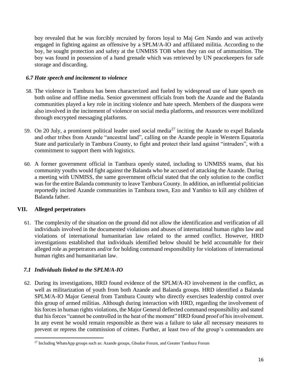boy revealed that he was forcibly recruited by forces loyal to Maj Gen Nando and was actively engaged in fighting against an offensive by a SPLM/A-IO and affiliated militia. According to the boy, he sought protection and safety at the UNMISS TOB when they ran out of ammunition. The boy was found in possession of a hand grenade which was retrieved by UN peacekeepers for safe storage and discarding.

### *6.7 Hate speech and incitement to violence*

- 58. The violence in Tambura has been characterized and fueled by widespread use of hate speech on both online and offline media. Senior government officials from both the Azande and the Balanda communities played a key role in inciting violence and hate speech. Members of the diaspora were also involved in the incitement of violence on social media platforms, and resources were mobilized through encrypted messaging platforms.
- 59. On 20 July, a prominent political leader used social media<sup>27</sup> inciting the Azande to expel Balanda and other tribes from Azande "ancestral land", calling on the Azande people in Western Equatoria State and particularly in Tambura County, to fight and protect their land against "intruders", with a commitment to support them with logistics.
- 60. A former government official in Tambura openly stated, including to UNMISS teams, that his community youths would fight against the Balanda who he accused of attacking the Azande. During a meeting with UNMISS, the same government official stated that the only solution to the conflict was for the entire Balanda community to leave Tambura County. In addition, an influential politician reportedly incited Azande communities in Tambura town, Ezo and Yambio to kill any children of Balanda father.

### <span id="page-16-0"></span>**VII. Alleged perpetrators**

61. The complexity of the situation on the ground did not allow the identification and verification of all individuals involved in the documented violations and abuses of international human rights law and violations of international humanitarian law related to the armed conflict. However, HRD investigations established that individuals identified below should be held accountable for their alleged role as perpetrators and/or for holding command responsibility for violations of international human rights and humanitarian law.

# <span id="page-16-1"></span>*7.1 Individuals linked to the SPLM/A-IO*

62. During its investigations, HRD found evidence of the SPLM/A-IO involvement in the conflict, as well as militarization of youth from both Azande and Balanda groups. HRD identified a Balanda SPLM/A-IO Major General from Tambura County who directly exercises leadership control over this group of armed militias. Although during interaction with HRD, regarding the involvement of his forces in human rights violations, the Major General deflected command responsibility and stated that his forces "cannot be controlled in the heat of the moment" HRD found proof of his involvement. In any event he would remain responsible as there was a failure to take all necessary measures to prevent or repress the commission of crimes. Further, at least two of the group's commanders are

<sup>&</sup>lt;sup>27</sup> Including WhatsApp groups such as: Azande groups, Gbudue Forum, and Greater Tambura Forum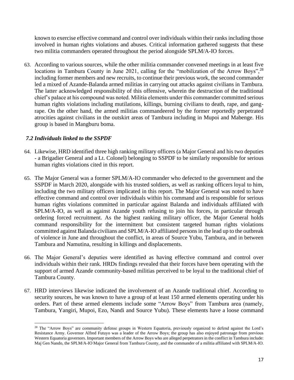known to exercise effective command and control over individuals within their ranks including those involved in human rights violations and abuses. Critical information gathered suggests that these two militia commanders operated throughout the period alongside SPLM/A-IO forces.

63. According to various sources, while the other militia commander convened meetings in at least five locations in Tambura County in June 2021, calling for the "mobilization of the Arrow Boys",<sup>28</sup> including former members and new recruits, to continue their previous work, the second commander led a mixed of Azande-Balanda armed militias in carrying out attacks against civilians in Tambura. The latter acknowledged responsibility of this offensive, wherein the destruction of the traditional chief's palace at his compound was noted. Militia elements under this commander committed serious human rights violations including mutilations, killings, burning civilians to death, rape, and gangrape. On the other hand, the armed militias commandeered by the former reportedly perpetrated atrocities against civilians in the outskirt areas of Tambura including in Mupoi and Mabenge. His group is based in Mangburu boma.

### <span id="page-17-0"></span>*7.2 Individuals linked to the SSPDF*

- 64. Likewise, HRD identified three high ranking military officers (a Major General and his two deputies - a Brigadier General and a Lt. Colonel) belonging to SSPDF to be similarly responsible for serious human rights violations cited in this report.
- 65. The Major General was a former SPLM/A-IO commander who defected to the government and the SSPDF in March 2020, alongside with his trusted soldiers, as well as ranking officers loyal to him, including the two military officers implicated in this report. The Major General was noted to have effective command and control over individuals within his command and is responsible for serious human rights violations committed in particular against Balanda and individuals affiliated with SPLM/A-IO, as well as against Azande youth refusing to join his forces, in particular through ordering forced recruitment. As the highest ranking military officer, the Major General holds command responsibility for the intermittent but consistent targeted human rights violations committed against Balanda civilians and SPLM/A-IO affiliated persons in the lead up to the outbreak of violence in June and throughout the conflict, in areas of Source Yubu, Tambura, and in between Tambura and Namutina, resulting in killings and displacements.
- 66. The Major General's deputies were identified as having effective command and control over individuals within their rank. HRDs findings revealed that their forces have been operating with the support of armed Azande community-based militias perceived to be loyal to the traditional chief of Tambura County.
- 67. HRD interviews likewise indicated the involvement of an Azande traditional chief. According to security sources, he was known to have a group of at least 150 armed elements operating under his orders. Part of these armed elements include some "Arrow Boys" from Tambura area (namely, Tambura, Yangiri, Mupoi, Ezo, Nandi and Source Yubu). These elements have a loose command

<sup>&</sup>lt;sup>28</sup> The "Arrow Boys" are community defense groups in Western Equatoria, previously organized to defend against the Lord's Resistance Army. Governor Alfred Futuyo was a leader of the Arrow Boys; the group has also enjoyed patronage from previous Western Equatoria governors. Important members of the Arrow Boys who are alleged perpetrators in the conflict in Tambura include: Maj Gen Nando, the SPLM/A-IO Major General from Tambura County, and the commander of a militia affiliated with SPLM/A-IO.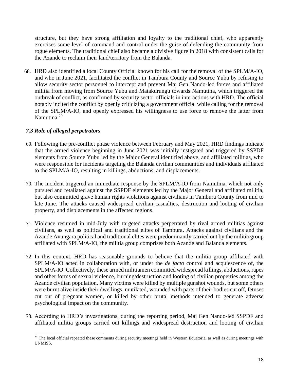structure, but they have strong affiliation and loyalty to the traditional chief, who apparently exercises some level of command and control under the guise of defending the community from rogue elements. The traditional chief also became a divisive figure in 2018 with consistent calls for the Azande to reclaim their land/territory from the Balanda.

68. HRD also identified a local County Official known for his call for the removal of the SPLM/A-IO, and who in June 2021, facilitated the conflict in Tambura County and Source Yubu by refusing to allow security sector personnel to intercept and prevent Maj Gen Nando-led forces and affiliated militia from moving from Source Yubu and Matakurungu towards Namutina, which triggered the outbreak of conflict, as confirmed by security sector officials in interactions with HRD. The official notably incited the conflict by openly criticizing a government official while calling for the removal of the SPLM/A-IO, and openly expressed his willingness to use force to remove the latter from Namutina.<sup>29</sup>

### *7.3 Role of alleged perpetrators*

- 69. Following the pre-conflict phase violence between February and May 2021, HRD findings indicate that the armed violence beginning in June 2021 was initially instigated and triggered by SSPDF elements from Source Yubu led by the Major General identified above, and affiliated militias, who were responsible for incidents targeting the Balanda civilian communities and individuals affiliated to the SPLM/A-IO, resulting in killings, abductions, and displacements.
- 70. The incident triggered an immediate response by the SPLM/A-IO from Namutina, which not only pursued and retaliated against the SSPDF elements led by the Major General and affiliated militia, but also committed grave human rights violations against civilians in Tambura County from mid to late June. The attacks caused widespread civilian casualties, destruction and looting of civilian property, and displacements in the affected regions.
- 71. Violence resumed in mid-July with targeted attacks perpetrated by rival armed militias against civilians, as well as political and traditional elites of Tambura. Attacks against civilians and the Azande Avungara political and traditional elites were predominantly carried out by the militia group affiliated with SPLM/A-IO, the militia group comprises both Azande and Balanda elements.
- 72. In this context, HRD has reasonable grounds to believe that the militia group affiliated with SPLM/A-IO acted in collaboration with, or under the *de facto* control and acquiescence of, the SPLM/A-IO. Collectively, these armed militiamen committed widespread killings, abductions, rapes and other forms of sexual violence, burning/destruction and looting of civilian properties among the Azande civilian population. Many victims were killed by multiple gunshot wounds, but some others were burnt alive inside their dwellings, mutilated, wounded with parts of their bodies cut off, fetuses cut out of pregnant women, or killed by other brutal methods intended to generate adverse psychological impact on the community.
- 73. According to HRD's investigations, during the reporting period, Maj Gen Nando-led SSPDF and affiliated militia groups carried out killings and widespread destruction and looting of civilian

<sup>&</sup>lt;sup>29</sup> The local official repeated these comments during security meetings held in Western Equatoria, as well as during meetings with UNMISS.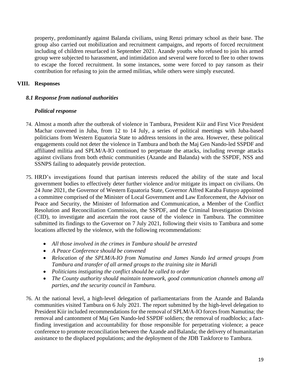property, predominantly against Balanda civilians, using Renzi primary school as their base. The group also carried out mobilization and recruitment campaigns, and reports of forced recruitment including of children resurfaced in September 2021. Azande youths who refused to join his armed group were subjected to harassment, and intimidation and several were forced to flee to other towns to escape the forced recruitment. In some instances, some were forced to pay ransom as their contribution for refusing to join the armed militias, while others were simply executed.

### <span id="page-19-0"></span>**VIII. Responses**

### <span id="page-19-1"></span>*8.1 Response from national authorities*

### *Political response*

- 74. Almost a month after the outbreak of violence in Tambura, President Kiir and First Vice President Machar convened in Juba, from 12 to 14 July, a series of political meetings with Juba-based politicians from Western Equatoria State to address tensions in the area. However, these political engagements could not deter the violence in Tambura and both the Maj Gen Nando-led SSPDF and affiliated militia and SPLM/A-IO continued to perpetuate the attacks, including revenge attacks against civilians from both ethnic communities (Azande and Balanda) with the SSPDF, NSS and SSNPS failing to adequately provide protection.
- 75. HRD's investigations found that partisan interests reduced the ability of the state and local government bodies to effectively deter further violence and/or mitigate its impact on civilians. On 24 June 2021, the Governor of Western Equatoria State, Governor Alfred Karaba Futuyo appointed a committee comprised of the Minister of Local Government and Law Enforcement, the Advisor on Peace and Security, the Minister of Information and Communication, a Member of the Conflict Resolution and Reconciliation Commission, the SSPDF, and the Criminal Investigation Division (CID), to investigate and ascertain the root cause of the violence in Tambura. The committee submitted its findings to the Governor on 7 July 2021, following their visits to Tambura and some locations affected by the violence, with the following recommendations:
	- *All those involved in the crimes in Tambura should be arrested*
	- *A Peace Conference should be convened*
	- *Relocation of the SPLM/A-IO from Namutina and James Nando led armed groups from Tambura and transfer of all armed groups to the training site in Maridi*
	- *Politicians instigating the conflict should be called to order*
	- *The County authority should maintain teamwork, good communication channels among all parties, and the security council in Tambura.*
- 76. At the national level, a high-level delegation of parliamentarians from the Azande and Balanda communities visited Tambura on 6 July 2021. The report submitted by the high-level delegation to President Kiir included recommendations for the removal of SPLM/A-IO forces from Namutina; the removal and cantonment of Maj Gen Nando-led SSPDF soldiers; the removal of roadblocks; a factfinding investigation and accountability for those responsible for perpetrating violence; a peace conference to promote reconciliation between the Azande and Balanda; the delivery of humanitarian assistance to the displaced populations; and the deployment of the JDB Taskforce to Tambura.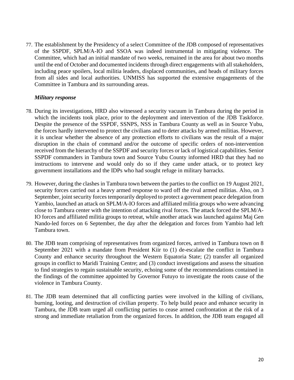77. The establishment by the Presidency of a select Committee of the JDB composed of representatives of the SSPDF, SPLM/A-IO and SSOA was indeed instrumental in mitigating violence. The Committee, which had an initial mandate of two weeks, remained in the area for about two months until the end of October and documented incidents through direct engagements with all stakeholders, including peace spoilers, local militia leaders, displaced communities, and heads of military forces from all sides and local authorities. UNMISS has supported the extensive engagements of the Committee in Tambura and its surrounding areas.

#### *Military response*

- 78. During its investigations, HRD also witnessed a security vacuum in Tambura during the period in which the incidents took place, prior to the deployment and intervention of the JDB Taskforce. Despite the presence of the SSPDF, SSNPS, NSS in Tambura County as well as in Source Yubu, the forces hardly intervened to protect the civilians and to deter attacks by armed militias. However, it is unclear whether the absence of any protection efforts to civilians was the result of a major disruption in the chain of command and/or the outcome of specific orders of non-intervention received from the hierarchy of the SSPDF and security forces or lack of logistical capabilities. Senior SSPDF commanders in Tambura town and Source Yubu County informed HRD that they had no instructions to intervene and would only do so if they came under attack, or to protect key government installations and the IDPs who had sought refuge in military barracks.
- 79. However, during the clashes in Tambura town between the parties to the conflict on 19 August 2021, security forces carried out a heavy armed response to ward off the rival armed militias. Also, on 3 September, joint security forces temporarily deployed to protect a government peace delegation from Yambio, launched an attack on SPLM/A-IO forces and affiliated militia groups who were advancing close to Tambura center with the intention of attacking rival forces. The attack forced the SPLM/A-IO forces and affiliated militia groups to retreat, while another attack was launched against Maj Gen Nando-led forces on 6 September, the day after the delegation and forces from Yambio had left Tambura town.
- 80. The JDB team comprising of representatives from organized forces, arrived in Tambura town on 8 September 2021 with a mandate from President Kiir to (1) de-escalate the conflict in Tambura County and enhance security throughout the Western Equatoria State; (2) transfer all organized groups in conflict to Maridi Training Centre; and (3) conduct investigations and assess the situation to find strategies to regain sustainable security, echoing some of the recommendations contained in the findings of the committee appointed by Governor Futuyo to investigate the roots cause of the violence in Tambura County.
- 81. The JDB team determined that all conflicting parties were involved in the killing of civilians, burning, looting, and destruction of civilian property. To help build peace and enhance security in Tambura, the JDB team urged all conflicting parties to cease armed confrontation at the risk of a strong and immediate retaliation from the organized forces. In addition, the JDB team engaged all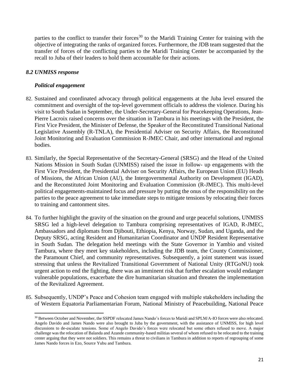parties to the conflict to transfer their forces<sup>30</sup> to the Maridi Training Center for training with the objective of integrating the ranks of organized forces. Furthermore, the JDB team suggested that the transfer of forces of the conflicting parties to the Maridi Training Center be accompanied by the recall to Juba of their leaders to hold them accountable for their actions.

### <span id="page-21-0"></span>*8.2 UNMISS response*

#### *Political engagement*

- 82. Sustained and coordinated advocacy through political engagements at the Juba level ensured the commitment and oversight of the top-level government officials to address the violence. During his visit to South Sudan in September, the Under-Secretary-General for Peacekeeping Operations, Jean-Pierre Lacroix raised concerns over the situation in Tambura in his meetings with the President, the First Vice President, the Minister of Defense, the Speaker of the Reconstituted Transitional National Legislative Assembly (R-TNLA), the Presidential Adviser on Security Affairs, the Reconstituted Joint Monitoring and Evaluation Commission R-JMEC Chair, and other international and regional bodies.
- 83. Similarly, the Special Representative of the Secretary-General (SRSG) and the Head of the United Nations Mission in South Sudan (UNMISS) raised the issue in follow- up engagements with the First Vice President, the Presidential Adviser on Security Affairs, the European Union (EU) Heads of Missions, the African Union (AU), the Intergovernmental Authority on Development (IGAD), and the Reconstituted Joint Monitoring and Evaluation Commission (R-JMEC). This multi-level political engagements-maintained focus and pressure by putting the onus of the responsibility on the parties to the peace agreement to take immediate steps to mitigate tensions by relocating their forces to training and cantonment sites.
- 84. To further highlight the gravity of the situation on the ground and urge peaceful solutions, UNMISS SRSG led a high-level delegation to Tambura comprising representatives of IGAD, R-JMEC, Ambassadors and diplomats from Djibouti, Ethiopia, Kenya, Norway, Sudan, and Uganda, and the Deputy SRSG, acting Resident and Humanitarian Coordinator and UNDP Resident Representative in South Sudan. The delegation held meetings with the State Governor in Yambio and visited Tambura, where they meet key stakeholders, including the JDB team, the County Commissioner, the Paramount Chief, and community representatives. Subsequently, a joint statement was issued stressing that unless the Revitalized Transitional Government of National Unity (RTGoNU) took urgent action to end the fighting, there was an imminent risk that further escalation would endanger vulnerable populations, exacerbate the dire humanitarian situation and threaten the implementation of the Revitalized Agreement.
- 85. Subsequently, UNDP's Peace and Cohesion team engaged with multiple stakeholders including the of Western Equatoria Parliamentarian Forum, National Ministry of Peacebuilding, National Peace

<sup>&</sup>lt;sup>30</sup> Between October and November, the SSPDF relocated James Nando's forces to Maridi and SPLM/A-IO forces were also relocated. Angelo Davido and James Nando were also brought to Juba by the government, with the assistance of UNMISS, for high level discussions to de-escalate tensions. Some of Angelo Davido's forces were relocated but some others refused to move. A major challenge was the relocation of Balanda and Azande community-based militias several of whom refused to be relocated to the training center arguing that they were not soldiers. This remains a threat to civilians in Tambura in addition to reports of regrouping of some James Nando forces in Ezo, Source Yubu and Tambura.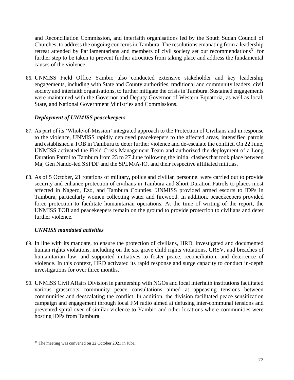and Reconciliation Commission, and interfaith organisations led by the South Sudan Council of Churches, to address the ongoing concerns in Tambura. The resolutions emanating from a leadership retreat attended by Parliamentarians and members of civil society set out recommendations $31$  for further step to be taken to prevent further atrocities from taking place and address the fundamental causes of the violence.

86. UNMISS Field Office Yambio also conducted extensive stakeholder and key leadership engagements, including with State and County authorities, traditional and community leaders, civil society and interfaith organisations, to further mitigate the crisis in Tambura. Sustained engagements were maintained with the Governor and Deputy Governor of Western Equatoria, as well as local, State, and National Government Ministries and Commissions.

### *Deployment of UNMISS peacekeepers*

- 87. As part of its 'Whole-of-Mission' integrated approach to the Protection of Civilians and in response to the violence, UNMISS rapidly deployed peacekeepers to the affected areas, intensified patrols and established a TOB in Tambura to deter further violence and de-escalate the conflict. On 22 June, UNMISS activated the Field Crisis Management Team and authorized the deployment of a Long Duration Patrol to Tambura from 23 to 27 June following the initial clashes that took place between Maj Gen Nando-led SSPDF and the SPLM/A-IO, and their respective affiliated militias.
- 88. As of 5 October, 21 rotations of military, police and civilian personnel were carried out to provide security and enhance protection of civilians in Tambura and Short Duration Patrols to places most affected in Nagero, Ezo, and Tambura Counties. UNMISS provided armed escorts to IDPs in Tambura, particularly women collecting water and firewood. In addition, peacekeepers provided force protection to facilitate humanitarian operations. At the time of writing of the report, the UNMISS TOB and peacekeepers remain on the ground to provide protection to civilians and deter further violence.

# *UNMISS mandated activities*

- 89. In line with its mandate, to ensure the protection of civilians, HRD, investigated and documented human rights violations, including on the six grave child rights violations, CRSV, and breaches of humanitarian law, and supported initiatives to foster peace, reconciliation, and deterrence of violence. In this context, HRD activated its rapid response and surge capacity to conduct in-depth investigations for over three months.
- 90. UNMISS Civil Affairs Division in partnership with NGOs and local interfaith institutions facilitated various grassroots community peace consultations aimed at appeasing tensions between communities and deescalating the conflict. In addition, the division facilitated peace sensitization campaign and engagement through local FM radio aimed at defusing inter-communal tensions and prevented spiral over of similar violence to Yambio and other locations where communities were hosting IDPs from Tambura.

<sup>&</sup>lt;sup>31</sup> The meeting was convened on 22 October 2021 in Juba.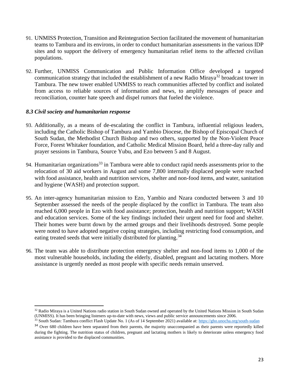- 91. UNMISS Protection, Transition and Reintegration Section facilitated the movement of humanitarian teams to Tambura and its environs, in order to conduct humanitarian assessments in the various IDP sites and to support the delivery of emergency humanitarian relief items to the affected civilian populations.
- 92. Further, UNMISS Communication and Public Information Office developed a targeted communication strategy that included the establishment of a new Radio Miraya<sup>32</sup> broadcast tower in Tambura. The new tower enabled UNMISS to reach communities affected by conflict and isolated from access to reliable sources of information and news, to amplify messages of peace and reconciliation, counter hate speech and dispel rumors that fueled the violence.

#### <span id="page-23-0"></span>*8.3 Civil society and humanitarian response*

- 93. Additionally, as a means of de-escalating the conflict in Tambura, influential religious leaders, including the Catholic Bishop of Tambura and Yambio Diocese, the Bishop of Episcopal Church of South Sudan, the Methodist Church Bishop and two others, supported by the Non-Violent Peace Force, Forest Whitaker foundation, and Catholic Medical Mission Board, held a three-day rally and prayer sessions in Tambura, Source Yubu, and Ezo between 5 and 8 August.
- 94. Humanitarian organizations<sup>33</sup> in Tambura were able to conduct rapid needs assessments prior to the relocation of 30 aid workers in August and some 7,800 internally displaced people were reached with food assistance, health and nutrition services, shelter and non-food items, and water, sanitation and hygiene (WASH) and protection support.
- 95. An inter-agency humanitarian mission to Ezo, Yambio and Nzara conducted between 3 and 10 September assessed the needs of the people displaced by the conflict in Tambura. The team also reached 6,000 people in Ezo with food assistance; protection, health and nutrition support; WASH and education services. Some of the key findings included their urgent need for food and shelter. Their homes were burnt down by the armed groups and their livelihoods destroyed. Some people were noted to have adopted negative coping strategies, including restricting food consumption, and eating treated seeds that were initially distributed for planting.<sup>34</sup>
- 96. The team was able to distribute protection emergency shelter and non-food items to 1,000 of the most vulnerable households, including the elderly, disabled, pregnant and lactating mothers. More assistance is urgently needed as most people with specific needs remain unserved.

<sup>&</sup>lt;sup>32</sup> Radio Miraya is a United Nations radio station in South Sudan owned and operated by the United Nations Mission in South Sudan (UNMISS). It has been bringing listeners up-to-date with news, views and public service announcements since 2006.

<sup>33</sup> South Sudan: Tambura conflict Flash Update No. 1 (As of 14 September 2021) available at[: https://gho.unocha.org/south-sudan](https://gho.unocha.org/south-sudan)

<sup>&</sup>lt;sup>34</sup> Over 680 children have been separated from their parents, the majority unaccompanied as their parents were reportedly killed during the fighting. The nutrition status of children, pregnant and lactating mothers is likely to deteriorate unless emergency food assistance is provided to the displaced communities.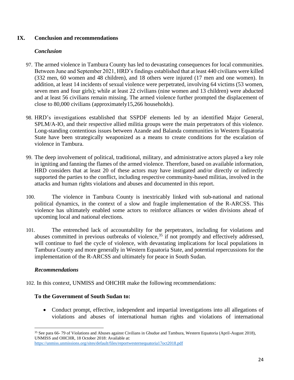### **IX. Conclusion and recommendations**

### <span id="page-24-0"></span>*Conclusion*

- 97. The armed violence in Tambura County has led to devastating consequences for local communities. Between June and September 2021, HRD's findings established that at least 440 civilians were killed (332 men, 60 women and 48 children), and 18 others were injured (17 men and one women). In addition, at least 14 incidents of sexual violence were perpetrated, involving 64 victims (53 women, seven men and four girls); while at least 22 civilians (nine women and 13 children) were abducted and at least 56 civilians remain missing. The armed violence further prompted the displacement of close to 80,000 civilians (approximately15,266 households).
- 98. HRD's investigations established that SSPDF elements led by an identified Major General, SPLM/A-IO, and their respective allied militia groups were the main perpetrators of this violence. Long-standing contentious issues between Azande and Balanda communities in Western Equatoria State have been strategically weaponized as a means to create conditions for the escalation of violence in Tambura.
- 99. The deep involvement of political, traditional, military, and administrative actors played a key role in igniting and fanning the flames of the armed violence. Therefore, based on available information, HRD considers that at least 20 of these actors may have instigated and/or directly or indirectly supported the parties to the conflict, including respective community-based militias, involved in the attacks and human rights violations and abuses and documented in this report.
- 100. The violence in Tambura County is inextricably linked with sub-national and national political dynamics, in the context of a slow and fragile implementation of the R-ARCSS. This violence has ultimately enabled some actors to reinforce alliances or widen divisions ahead of upcoming local and national elections.
- 101. The entrenched lack of accountability for the perpetrators, including for violations and abuses committed in previous outbreaks of violence,<sup>35</sup> if not promptly and effectively addressed, will continue to fuel the cycle of violence, with devastating implications for local populations in Tambura County and more generally in Western Equatoria State, and potential repercussions for the implementation of the R-ARCSS and ultimately for peace in South Sudan.

### *Recommendations*

102. In this context, UNMISS and OHCHR make the following recommendations:

### **To the Government of South Sudan to:**

• Conduct prompt, effective, independent and impartial investigations into all allegations of violations and abuses of international human rights and violations of international

<sup>35</sup> See para 66-79 of Violations and Abuses against Civilians in Gbudue and Tambura, Western Equatoria (April-August 2018), UNMISS and OHCHR, 18 October 2018: Available at: <https://unmiss.unmissions.org/sites/default/files/reportwesternequatoria17oct2018.pdf>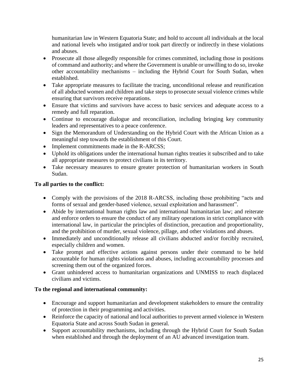humanitarian law in Western Equatoria State; and hold to account all individuals at the local and national levels who instigated and/or took part directly or indirectly in these violations and abuses.

- Prosecute all those allegedly responsible for crimes committed, including those in positions of command and authority; and where the Government is unable or unwilling to do so, invoke other accountability mechanisms – including the Hybrid Court for South Sudan, when established.
- Take appropriate measures to facilitate the tracing, unconditional release and reunification of all abducted women and children and take steps to prosecute sexual violence crimes while ensuring that survivors receive reparations.
- Ensure that victims and survivors have access to basic services and adequate access to a remedy and full reparation.
- Continue to encourage dialogue and reconciliation, including bringing key community leaders and representatives to a peace conference.
- Sign the Memorandum of Understanding on the Hybrid Court with the African Union as a meaningful step towards the establishment of this Court.
- Implement commitments made in the R-ARCSS;
- Uphold its obligations under the international human rights treaties it subscribed and to take all appropriate measures to protect civilians in its territory.
- Take necessary measures to ensure greater protection of humanitarian workers in South Sudan.

# **To all parties to the conflict:**

- Comply with the provisions of the 2018 R-ARCSS, including those prohibiting "acts and forms of sexual and gender-based violence, sexual exploitation and harassment".
- Abide by international human rights law and international humanitarian law; and reiterate and enforce orders to ensure the conduct of any military operations in strict compliance with international law, in particular the principles of distinction, precaution and proportionality, and the prohibition of murder, sexual violence, pillage, and other violations and abuses.
- Immediately and unconditionally release all civilians abducted and/or forcibly recruited, especially children and women.
- Take prompt and effective actions against persons under their command to be held accountable for human rights violations and abuses, including accountability processes and screening them out of the organized forces.
- Grant unhindered access to humanitarian organizations and UNMISS to reach displaced civilians and victims.

# **To the regional and international community:**

- Encourage and support humanitarian and development stakeholders to ensure the centrality of protection in their programming and activities.
- Reinforce the capacity of national and local authorities to prevent armed violence in Western Equatoria State and across South Sudan in general.
- Support accountability mechanisms, including through the Hybrid Court for South Sudan when established and through the deployment of an AU advanced investigation team.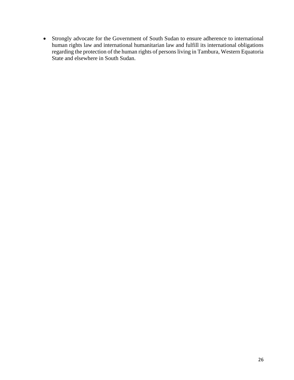• Strongly advocate for the Government of South Sudan to ensure adherence to international human rights law and international humanitarian law and fulfill its international obligations regarding the protection of the human rights of persons living in Tambura, Western Equatoria State and elsewhere in South Sudan.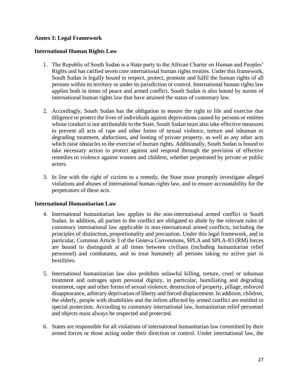### <span id="page-27-0"></span>**Annex I: Legal Framework**

#### **International Human Rights Law**

- 1. The Republic of South Sudan is a State party to the African Charter on Human and Peoples' Rights and has ratified seven core international human rights treaties. Under this framework, South Sudan is legally bound to respect, protect, promote and fulfil the human rights of all persons within its territory or under its jurisdiction or control. International human rights law applies both in times of peace and armed conflict. South Sudan is also bound by norms of international human rights law that have attained the status of customary law.
- 2. Accordingly, South Sudan has the obligation to ensure the right to life and exercise due diligence to protect the lives of individuals against deprivations caused by persons or entities whose conduct is not attributable to the State. South Sudan must also take effective measures to prevent all acts of rape and other forms of sexual violence, torture and inhuman or degrading treatment, abductions, and looting of private property, as well as any other acts which raise obstacles to the exercise of human rights. Additionally, South Sudan is bound to take necessary action to protect against and respond through the provision of effective remedies to violence against women and children, whether perpetrated by private or public actors.
- 3. In line with the right of victims to a remedy, the State must promptly investigate alleged violations and abuses of international human rights law, and to ensure accountability for the perpetrators of these acts.

#### **International Humanitarian Law**

- 4. International humanitarian law applies to the non-international armed conflict in South Sudan. In addition, all parties to the conflict are obligated to abide by the relevant rules of customary international law applicable in non-international armed conflicts, including the principles of distinction, proportionality and precaution. Under this legal framework, and in particular, Common Article 3 of the Geneva Conventions, SPLA and SPLA-IO (RM) forces are bound to distinguish at all times between civilians (including humanitarian relief personnel) and combatants, and to treat humanely all persons taking no active part in hostilities.
- 5. International humanitarian law also prohibits unlawful killing, torture, cruel or inhuman treatment and outrages upon personal dignity, in particular, humiliating and degrading treatment, rape and other forms of sexual violence, destruction of property, pillage, enforced disappearance, arbitrary deprivation of liberty and forced displacement. In addition, children, the elderly, people with disabilities and the infirm affected by armed conflict are entitled to special protection. According to customary international law, humanitarian relief personnel and objects must always be respected and protected.
- 6. States are responsible for all violations of international humanitarian law committed by their armed forces or those acting under their direction or control. Under international law, the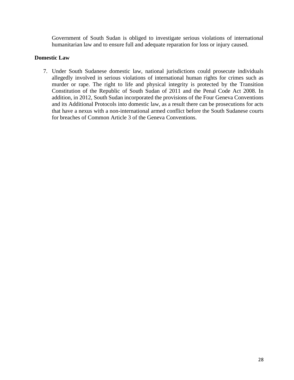Government of South Sudan is obliged to investigate serious violations of international humanitarian law and to ensure full and adequate reparation for loss or injury caused.

### **Domestic Law**

7. Under South Sudanese domestic law, national jurisdictions could prosecute individuals allegedly involved in serious violations of international human rights for crimes such as murder or rape. The right to life and physical integrity is protected by the Transition Constitution of the Republic of South Sudan of 2011 and the Penal Code Act 2008. In addition, in 2012, South Sudan incorporated the provisions of the Four Geneva Conventions and its Additional Protocols into domestic law, as a result there can be prosecutions for acts that have a nexus with a non-international armed conflict before the South Sudanese courts for breaches of Common Article 3 of the Geneva Conventions.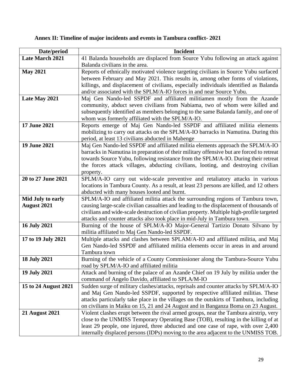# <span id="page-29-0"></span>**Annex II: Timeline of major incidents and events in Tambura conflict- 2021**

| Date/period            | <b>Incident</b>                                                                                  |
|------------------------|--------------------------------------------------------------------------------------------------|
| <b>Late March 2021</b> | 41 Balanda households are displaced from Source Yubu following an attack against                 |
|                        | Balanda civilians in the area.                                                                   |
| <b>May 2021</b>        | Reports of ethnically motivated violence targeting civilians in Source Yubu surfaced             |
|                        | between February and May 2021. This results in, among other forms of violations,                 |
|                        | killings, and displacement of civilians, especially individuals identified as Balanda            |
|                        | and/or associated with the SPLM/A-IO forces in and near Source Yubu.                             |
| Late May 2021          | Maj Gen Nando-led SSPDF and affiliated militiamen mostly from the Azande                         |
|                        | community, abduct seven civilians from Nabiama, two of whom were killed and                      |
|                        | subsequently identified as members belonging to the same Balanda family, and one of              |
|                        | whom was formerly affiliated with the SPLM/A-IO.                                                 |
| 17 June 2021           | Reports emerge of Maj Gen Nando-led SSPDF and affiliated militia elements                        |
|                        | mobilizing to carry out attacks on the SPLM/A-IO barracks in Namutina. During this               |
|                        | period, at least 13 civilians abducted in Mabenge                                                |
| 19 June 2021           | Maj Gen Nando-led SSPDF and affiliated militia elements approach the SPLM/A-IO                   |
|                        | barracks in Namutina in preparation of their military offensive but are forced to retreat        |
|                        | towards Source Yubu, following resistance from the SPLM/A-IO. During their retreat               |
|                        | the forces attack villages, abducting civilians, looting, and destroying civilian                |
|                        | property.                                                                                        |
| 20 to 27 June 2021     | SPLM/A-IO carry out wide-scale preventive and retaliatory attacks in various                     |
|                        | locations in Tambura County. As a result, at least 23 persons are killed, and 12 others          |
|                        | abducted with many houses looted and burnt.                                                      |
| Mid July to early      | SPLM/A-IO and affiliated militia attack the surrounding regions of Tambura town,                 |
| <b>August 2021</b>     | causing large-scale civilian casualties and leading to the displacement of thousands of          |
|                        | civilians and wide-scale destruction of civilian property. Multiple high-profile targeted        |
|                        | attacks and counter attacks also took place in mid-July in Tambura town.                         |
| <b>16 July 2021</b>    | Burning of the house of SPLM/A-IO Major-General Tartizio Donato Silvano by                       |
|                        | militia affiliated to Maj Gen Nando-led SSPDF.                                                   |
| 17 to 19 July 2021     | Multiple attacks and clashes between SPLAM/A-IO and affiliated militia, and Maj                  |
|                        | Gen Nando-led SSPDF and affiliated militia elements occur in areas in and around<br>Tambura town |
| <b>18 July 2021</b>    | Burning of the vehicle of a County Commissioner along the Tambura-Source Yubu                    |
|                        | road by SPLM/A-IO and affiliated militia                                                         |
| <b>19 July 2021</b>    | Attack and burning of the palace of an Azande Chief on 19 July by militia under the              |
|                        | command of Angelo Davido, affiliated to SPLA/M-IO                                                |
| 15 to 24 August 2021   | Sudden surge of military clashes/attacks, reprisals and counter attacks by SPLM/A-IO             |
|                        | and Maj Gen Nando-led SSPDF, supported by respective affiliated militias. These                  |
|                        | attacks particularly take place in the villages on the outskirts of Tambura, including           |
|                        | on civilians in Maiku on 15, 21 and 24 August and in Banganza Boma on 23 August.                 |
| <b>21 August 2021</b>  | Violent clashes erupt between the rival armed groups, near the Tambura airstrip, very            |
|                        | close to the UNMISS Temporary Operating Base (TOB), resulting in the killing of at               |
|                        | least 29 people, one injured, three abducted and one case of rape, with over 2,400               |
|                        | internally displaced persons (IDPs) moving to the area adjacent to the UNMISS TOB.               |